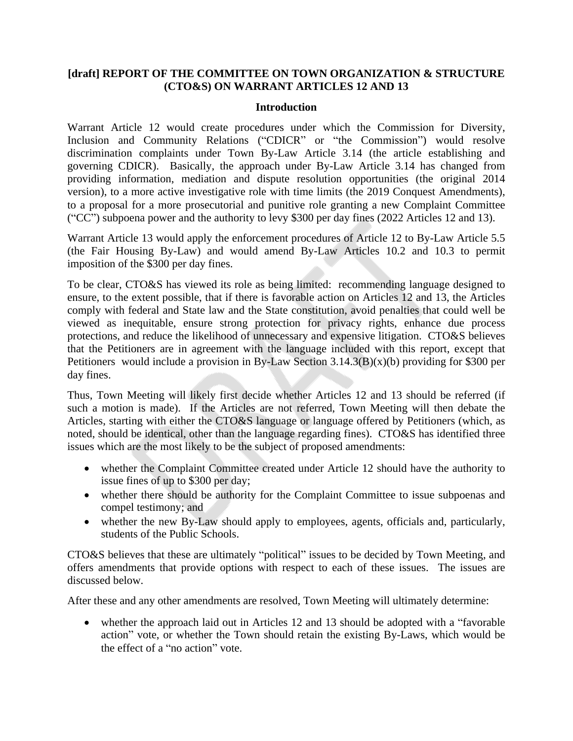# **[draft] REPORT OF THE COMMITTEE ON TOWN ORGANIZATION & STRUCTURE (CTO&S) ON WARRANT ARTICLES 12 AND 13**

#### **Introduction**

Warrant Article 12 would create procedures under which the Commission for Diversity, Inclusion and Community Relations ("CDICR" or "the Commission") would resolve discrimination complaints under Town By-Law Article 3.14 (the article establishing and governing CDICR). Basically, the approach under By-Law Article 3.14 has changed from providing information, mediation and dispute resolution opportunities (the original 2014 version), to a more active investigative role with time limits (the 2019 Conquest Amendments), to a proposal for a more prosecutorial and punitive role granting a new Complaint Committee ("CC") subpoena power and the authority to levy \$300 per day fines (2022 Articles 12 and 13).

Warrant Article 13 would apply the enforcement procedures of Article 12 to By-Law Article 5.5 (the Fair Housing By-Law) and would amend By-Law Articles 10.2 and 10.3 to permit imposition of the \$300 per day fines.

To be clear, CTO&S has viewed its role as being limited: recommending language designed to ensure, to the extent possible, that if there is favorable action on Articles 12 and 13, the Articles comply with federal and State law and the State constitution, avoid penalties that could well be viewed as inequitable, ensure strong protection for privacy rights, enhance due process protections, and reduce the likelihood of unnecessary and expensive litigation. CTO&S believes that the Petitioners are in agreement with the language included with this report, except that Petitioners would include a provision in By-Law Section 3.14.3(B)(x)(b) providing for \$300 per day fines.

Thus, Town Meeting will likely first decide whether Articles 12 and 13 should be referred (if such a motion is made). If the Articles are not referred, Town Meeting will then debate the Articles, starting with either the CTO&S language or language offered by Petitioners (which, as noted, should be identical, other than the language regarding fines). CTO&S has identified three issues which are the most likely to be the subject of proposed amendments:

- whether the Complaint Committee created under Article 12 should have the authority to issue fines of up to \$300 per day;
- whether there should be authority for the Complaint Committee to issue subpoenas and compel testimony; and
- whether the new By-Law should apply to employees, agents, officials and, particularly, students of the Public Schools.

CTO&S believes that these are ultimately "political" issues to be decided by Town Meeting, and offers amendments that provide options with respect to each of these issues. The issues are discussed below.

After these and any other amendments are resolved, Town Meeting will ultimately determine:

 whether the approach laid out in Articles 12 and 13 should be adopted with a "favorable action" vote, or whether the Town should retain the existing By-Laws, which would be the effect of a "no action" vote.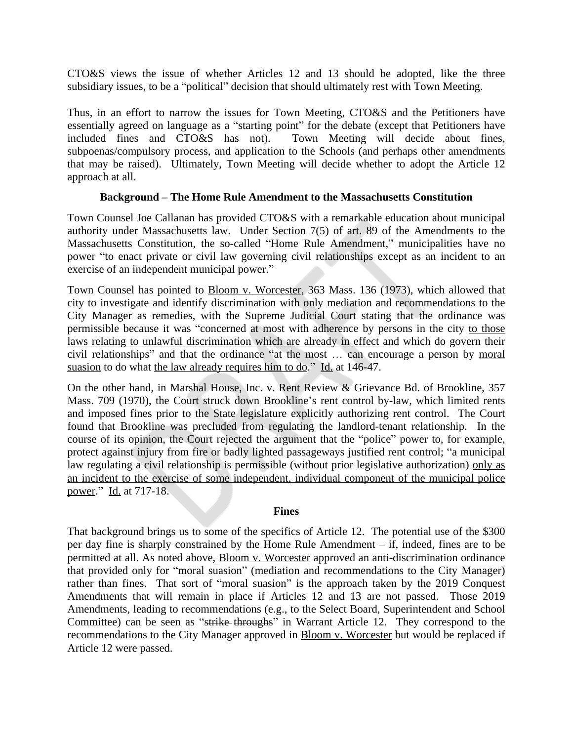CTO&S views the issue of whether Articles 12 and 13 should be adopted, like the three subsidiary issues, to be a "political" decision that should ultimately rest with Town Meeting.

Thus, in an effort to narrow the issues for Town Meeting, CTO&S and the Petitioners have essentially agreed on language as a "starting point" for the debate (except that Petitioners have included fines and CTO&S has not). Town Meeting will decide about fines, subpoenas/compulsory process, and application to the Schools (and perhaps other amendments that may be raised). Ultimately, Town Meeting will decide whether to adopt the Article 12 approach at all.

## **Background – The Home Rule Amendment to the Massachusetts Constitution**

Town Counsel Joe Callanan has provided CTO&S with a remarkable education about municipal authority under Massachusetts law. Under Section 7(5) of art. 89 of the Amendments to the Massachusetts Constitution, the so-called "Home Rule Amendment," municipalities have no power "to enact private or civil law governing civil relationships except as an incident to an exercise of an independent municipal power."

Town Counsel has pointed to Bloom v. Worcester, 363 Mass. 136 (1973), which allowed that city to investigate and identify discrimination with only mediation and recommendations to the City Manager as remedies, with the Supreme Judicial Court stating that the ordinance was permissible because it was "concerned at most with adherence by persons in the city to those laws relating to unlawful discrimination which are already in effect and which do govern their civil relationships" and that the ordinance "at the most … can encourage a person by moral suasion to do what the law already requires him to do." Id. at 146-47.

On the other hand, in Marshal House, Inc. v. Rent Review & Grievance Bd. of Brookline, 357 Mass. 709 (1970), the Court struck down Brookline's rent control by-law, which limited rents and imposed fines prior to the State legislature explicitly authorizing rent control. The Court found that Brookline was precluded from regulating the landlord-tenant relationship. In the course of its opinion, the Court rejected the argument that the "police" power to, for example, protect against injury from fire or badly lighted passageways justified rent control; "a municipal law regulating a civil relationship is permissible (without prior legislative authorization) only as an incident to the exercise of some independent, individual component of the municipal police power." Id. at 717-18.

### **Fines**

That background brings us to some of the specifics of Article 12. The potential use of the \$300 per day fine is sharply constrained by the Home Rule Amendment – if, indeed, fines are to be permitted at all. As noted above, Bloom v. Worcester approved an anti-discrimination ordinance that provided only for "moral suasion" (mediation and recommendations to the City Manager) rather than fines. That sort of "moral suasion" is the approach taken by the 2019 Conquest Amendments that will remain in place if Articles 12 and 13 are not passed. Those 2019 Amendments, leading to recommendations (e.g., to the Select Board, Superintendent and School Committee) can be seen as "strike throughs" in Warrant Article 12. They correspond to the recommendations to the City Manager approved in Bloom v. Worcester but would be replaced if Article 12 were passed.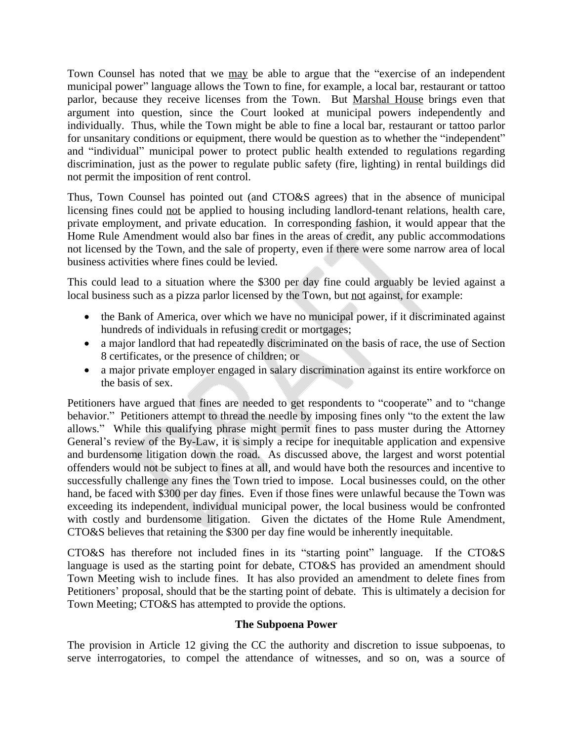Town Counsel has noted that we may be able to argue that the "exercise of an independent municipal power" language allows the Town to fine, for example, a local bar, restaurant or tattoo parlor, because they receive licenses from the Town. But Marshal House brings even that argument into question, since the Court looked at municipal powers independently and individually. Thus, while the Town might be able to fine a local bar, restaurant or tattoo parlor for unsanitary conditions or equipment, there would be question as to whether the "independent" and "individual" municipal power to protect public health extended to regulations regarding discrimination, just as the power to regulate public safety (fire, lighting) in rental buildings did not permit the imposition of rent control.

Thus, Town Counsel has pointed out (and CTO&S agrees) that in the absence of municipal licensing fines could not be applied to housing including landlord-tenant relations, health care, private employment, and private education. In corresponding fashion, it would appear that the Home Rule Amendment would also bar fines in the areas of credit, any public accommodations not licensed by the Town, and the sale of property, even if there were some narrow area of local business activities where fines could be levied.

This could lead to a situation where the \$300 per day fine could arguably be levied against a local business such as a pizza parlor licensed by the Town, but not against, for example:

- the Bank of America, over which we have no municipal power, if it discriminated against hundreds of individuals in refusing credit or mortgages;
- a major landlord that had repeatedly discriminated on the basis of race, the use of Section 8 certificates, or the presence of children; or
- a major private employer engaged in salary discrimination against its entire workforce on the basis of sex.

Petitioners have argued that fines are needed to get respondents to "cooperate" and to "change behavior." Petitioners attempt to thread the needle by imposing fines only "to the extent the law allows." While this qualifying phrase might permit fines to pass muster during the Attorney General's review of the By-Law, it is simply a recipe for inequitable application and expensive and burdensome litigation down the road. As discussed above, the largest and worst potential offenders would not be subject to fines at all, and would have both the resources and incentive to successfully challenge any fines the Town tried to impose. Local businesses could, on the other hand, be faced with \$300 per day fines. Even if those fines were unlawful because the Town was exceeding its independent, individual municipal power, the local business would be confronted with costly and burdensome litigation. Given the dictates of the Home Rule Amendment, CTO&S believes that retaining the \$300 per day fine would be inherently inequitable.

CTO&S has therefore not included fines in its "starting point" language. If the CTO&S language is used as the starting point for debate, CTO&S has provided an amendment should Town Meeting wish to include fines. It has also provided an amendment to delete fines from Petitioners' proposal, should that be the starting point of debate. This is ultimately a decision for Town Meeting; CTO&S has attempted to provide the options.

### **The Subpoena Power**

The provision in Article 12 giving the CC the authority and discretion to issue subpoenas, to serve interrogatories, to compel the attendance of witnesses, and so on, was a source of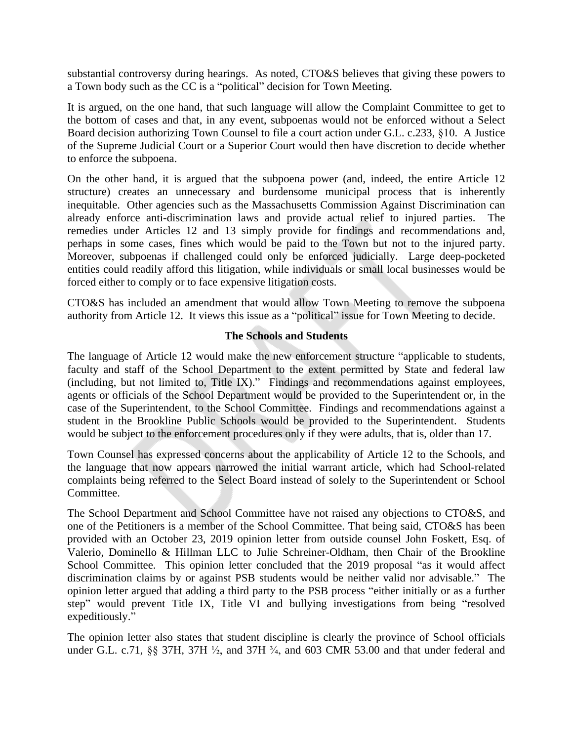substantial controversy during hearings. As noted, CTO&S believes that giving these powers to a Town body such as the CC is a "political" decision for Town Meeting.

It is argued, on the one hand, that such language will allow the Complaint Committee to get to the bottom of cases and that, in any event, subpoenas would not be enforced without a Select Board decision authorizing Town Counsel to file a court action under G.L. c.233, §10. A Justice of the Supreme Judicial Court or a Superior Court would then have discretion to decide whether to enforce the subpoena.

On the other hand, it is argued that the subpoena power (and, indeed, the entire Article 12 structure) creates an unnecessary and burdensome municipal process that is inherently inequitable. Other agencies such as the Massachusetts Commission Against Discrimination can already enforce anti-discrimination laws and provide actual relief to injured parties. The remedies under Articles 12 and 13 simply provide for findings and recommendations and, perhaps in some cases, fines which would be paid to the Town but not to the injured party. Moreover, subpoenas if challenged could only be enforced judicially. Large deep-pocketed entities could readily afford this litigation, while individuals or small local businesses would be forced either to comply or to face expensive litigation costs.

CTO&S has included an amendment that would allow Town Meeting to remove the subpoena authority from Article 12. It views this issue as a "political" issue for Town Meeting to decide.

### **The Schools and Students**

The language of Article 12 would make the new enforcement structure "applicable to students, faculty and staff of the School Department to the extent permitted by State and federal law (including, but not limited to, Title IX)." Findings and recommendations against employees, agents or officials of the School Department would be provided to the Superintendent or, in the case of the Superintendent, to the School Committee. Findings and recommendations against a student in the Brookline Public Schools would be provided to the Superintendent. Students would be subject to the enforcement procedures only if they were adults, that is, older than 17.

Town Counsel has expressed concerns about the applicability of Article 12 to the Schools, and the language that now appears narrowed the initial warrant article, which had School-related complaints being referred to the Select Board instead of solely to the Superintendent or School Committee.

The School Department and School Committee have not raised any objections to CTO&S, and one of the Petitioners is a member of the School Committee. That being said, CTO&S has been provided with an October 23, 2019 opinion letter from outside counsel John Foskett, Esq. of Valerio, Dominello & Hillman LLC to Julie Schreiner-Oldham, then Chair of the Brookline School Committee. This opinion letter concluded that the 2019 proposal "as it would affect discrimination claims by or against PSB students would be neither valid nor advisable." The opinion letter argued that adding a third party to the PSB process "either initially or as a further step" would prevent Title IX, Title VI and bullying investigations from being "resolved expeditiously."

The opinion letter also states that student discipline is clearly the province of School officials under G.L. c.71, §§ 37H, 37H  $\frac{1}{2}$ , and 37H  $\frac{3}{4}$ , and 603 CMR 53.00 and that under federal and